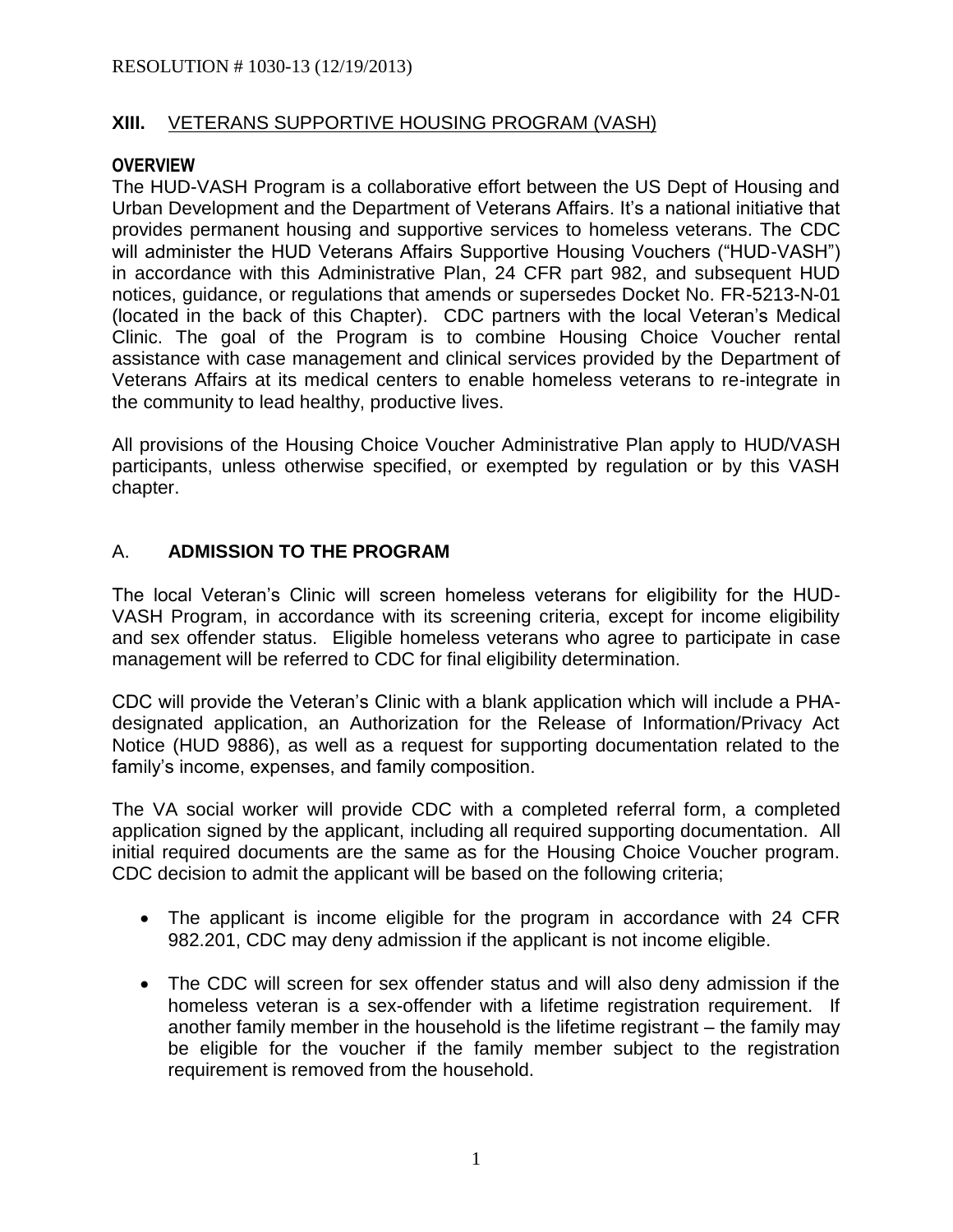#### **XIII.** VETERANS SUPPORTIVE HOUSING PROGRAM (VASH)

#### **OVERVIEW**

The HUD-VASH Program is a collaborative effort between the US Dept of Housing and Urban Development and the Department of Veterans Affairs. It's a national initiative that provides permanent housing and supportive services to homeless veterans. The CDC will administer the HUD Veterans Affairs Supportive Housing Vouchers ("HUD-VASH") in accordance with this Administrative Plan, 24 CFR part 982, and subsequent HUD notices, guidance, or regulations that amends or supersedes Docket No. FR-5213-N-01 (located in the back of this Chapter). CDC partners with the local Veteran's Medical Clinic. The goal of the Program is to combine Housing Choice Voucher rental assistance with case management and clinical services provided by the Department of Veterans Affairs at its medical centers to enable homeless veterans to re-integrate in the community to lead healthy, productive lives.

All provisions of the Housing Choice Voucher Administrative Plan apply to HUD/VASH participants, unless otherwise specified, or exempted by regulation or by this VASH chapter.

### A. **ADMISSION TO THE PROGRAM**

The local Veteran's Clinic will screen homeless veterans for eligibility for the HUD-VASH Program, in accordance with its screening criteria, except for income eligibility and sex offender status. Eligible homeless veterans who agree to participate in case management will be referred to CDC for final eligibility determination.

CDC will provide the Veteran's Clinic with a blank application which will include a PHAdesignated application, an Authorization for the Release of Information/Privacy Act Notice (HUD 9886), as well as a request for supporting documentation related to the family's income, expenses, and family composition.

The VA social worker will provide CDC with a completed referral form, a completed application signed by the applicant, including all required supporting documentation. All initial required documents are the same as for the Housing Choice Voucher program. CDC decision to admit the applicant will be based on the following criteria;

- The applicant is income eligible for the program in accordance with 24 CFR 982.201, CDC may deny admission if the applicant is not income eligible.
- The CDC will screen for sex offender status and will also deny admission if the homeless veteran is a sex-offender with a lifetime registration requirement. If another family member in the household is the lifetime registrant – the family may be eligible for the voucher if the family member subject to the registration requirement is removed from the household.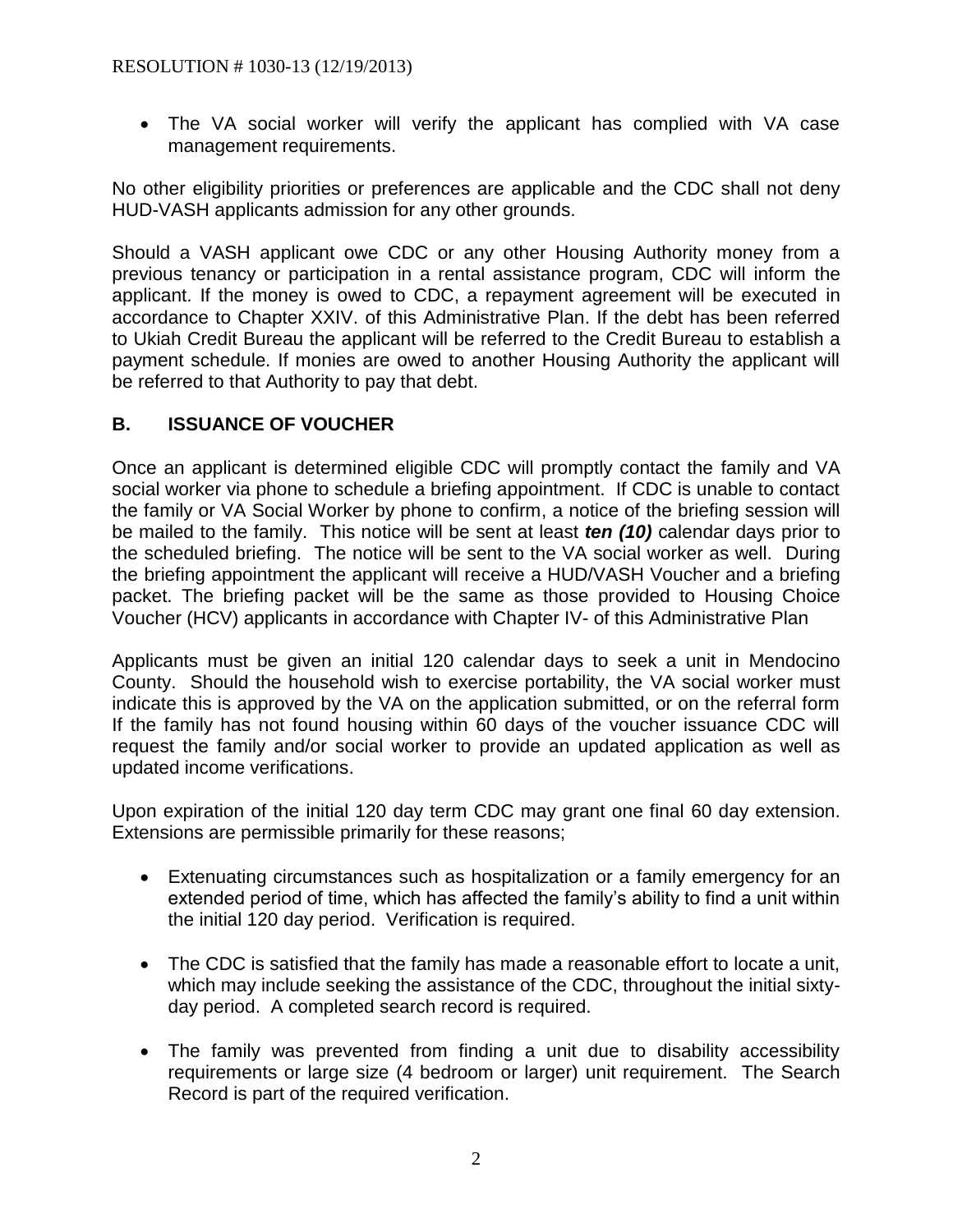The VA social worker will verify the applicant has complied with VA case management requirements.

No other eligibility priorities or preferences are applicable and the CDC shall not deny HUD-VASH applicants admission for any other grounds.

Should a VASH applicant owe CDC or any other Housing Authority money from a previous tenancy or participation in a rental assistance program, CDC will inform the applicant. If the money is owed to CDC, a repayment agreement will be executed in accordance to Chapter XXIV. of this Administrative Plan. If the debt has been referred to Ukiah Credit Bureau the applicant will be referred to the Credit Bureau to establish a payment schedule. If monies are owed to another Housing Authority the applicant will be referred to that Authority to pay that debt.

# **B. ISSUANCE OF VOUCHER**

Once an applicant is determined eligible CDC will promptly contact the family and VA social worker via phone to schedule a briefing appointment. If CDC is unable to contact the family or VA Social Worker by phone to confirm, a notice of the briefing session will be mailed to the family. This notice will be sent at least *ten (10)* calendar days prior to the scheduled briefing. The notice will be sent to the VA social worker as well. During the briefing appointment the applicant will receive a HUD/VASH Voucher and a briefing packet. The briefing packet will be the same as those provided to Housing Choice Voucher (HCV) applicants in accordance with Chapter IV- of this Administrative Plan

Applicants must be given an initial 120 calendar days to seek a unit in Mendocino County. Should the household wish to exercise portability, the VA social worker must indicate this is approved by the VA on the application submitted, or on the referral form If the family has not found housing within 60 days of the voucher issuance CDC will request the family and/or social worker to provide an updated application as well as updated income verifications.

Upon expiration of the initial 120 day term CDC may grant one final 60 day extension. Extensions are permissible primarily for these reasons;

- Extenuating circumstances such as hospitalization or a family emergency for an extended period of time, which has affected the family's ability to find a unit within the initial 120 day period. Verification is required.
- The CDC is satisfied that the family has made a reasonable effort to locate a unit, which may include seeking the assistance of the CDC, throughout the initial sixtyday period. A completed search record is required.
- The family was prevented from finding a unit due to disability accessibility requirements or large size (4 bedroom or larger) unit requirement. The Search Record is part of the required verification.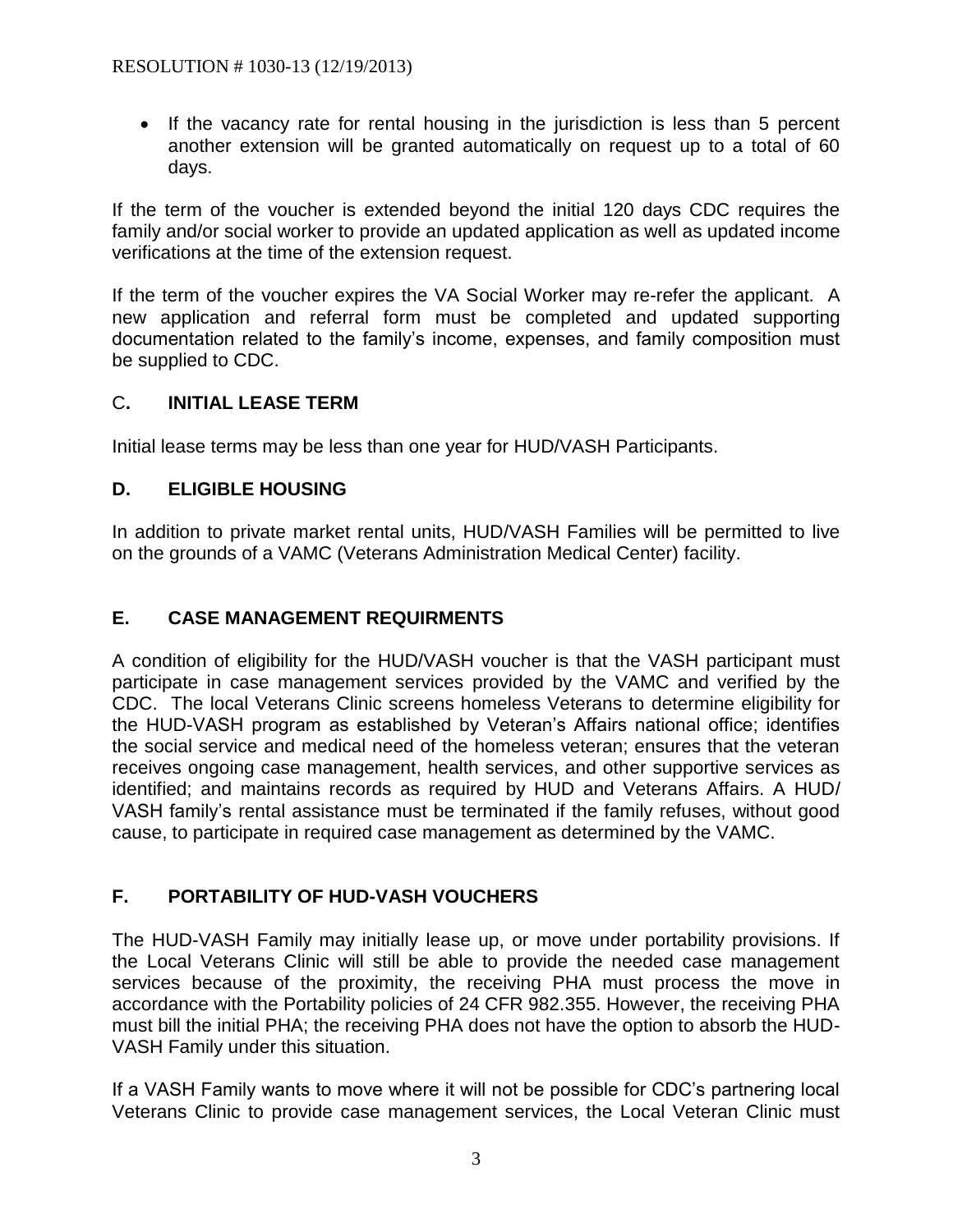If the vacancy rate for rental housing in the jurisdiction is less than 5 percent another extension will be granted automatically on request up to a total of 60 days.

If the term of the voucher is extended beyond the initial 120 days CDC requires the family and/or social worker to provide an updated application as well as updated income verifications at the time of the extension request.

If the term of the voucher expires the VA Social Worker may re-refer the applicant. A new application and referral form must be completed and updated supporting documentation related to the family's income, expenses, and family composition must be supplied to CDC.

# C**. INITIAL LEASE TERM**

Initial lease terms may be less than one year for HUD/VASH Participants.

### **D. ELIGIBLE HOUSING**

In addition to private market rental units, HUD/VASH Families will be permitted to live on the grounds of a VAMC (Veterans Administration Medical Center) facility.

# **E. CASE MANAGEMENT REQUIRMENTS**

A condition of eligibility for the HUD/VASH voucher is that the VASH participant must participate in case management services provided by the VAMC and verified by the CDC. The local Veterans Clinic screens homeless Veterans to determine eligibility for the HUD-VASH program as established by Veteran's Affairs national office; identifies the social service and medical need of the homeless veteran; ensures that the veteran receives ongoing case management, health services, and other supportive services as identified; and maintains records as required by HUD and Veterans Affairs. A HUD/ VASH family's rental assistance must be terminated if the family refuses, without good cause, to participate in required case management as determined by the VAMC.

# **F. PORTABILITY OF HUD-VASH VOUCHERS**

The HUD-VASH Family may initially lease up, or move under portability provisions. If the Local Veterans Clinic will still be able to provide the needed case management services because of the proximity, the receiving PHA must process the move in accordance with the Portability policies of 24 CFR 982.355. However, the receiving PHA must bill the initial PHA; the receiving PHA does not have the option to absorb the HUD-VASH Family under this situation.

If a VASH Family wants to move where it will not be possible for CDC's partnering local Veterans Clinic to provide case management services, the Local Veteran Clinic must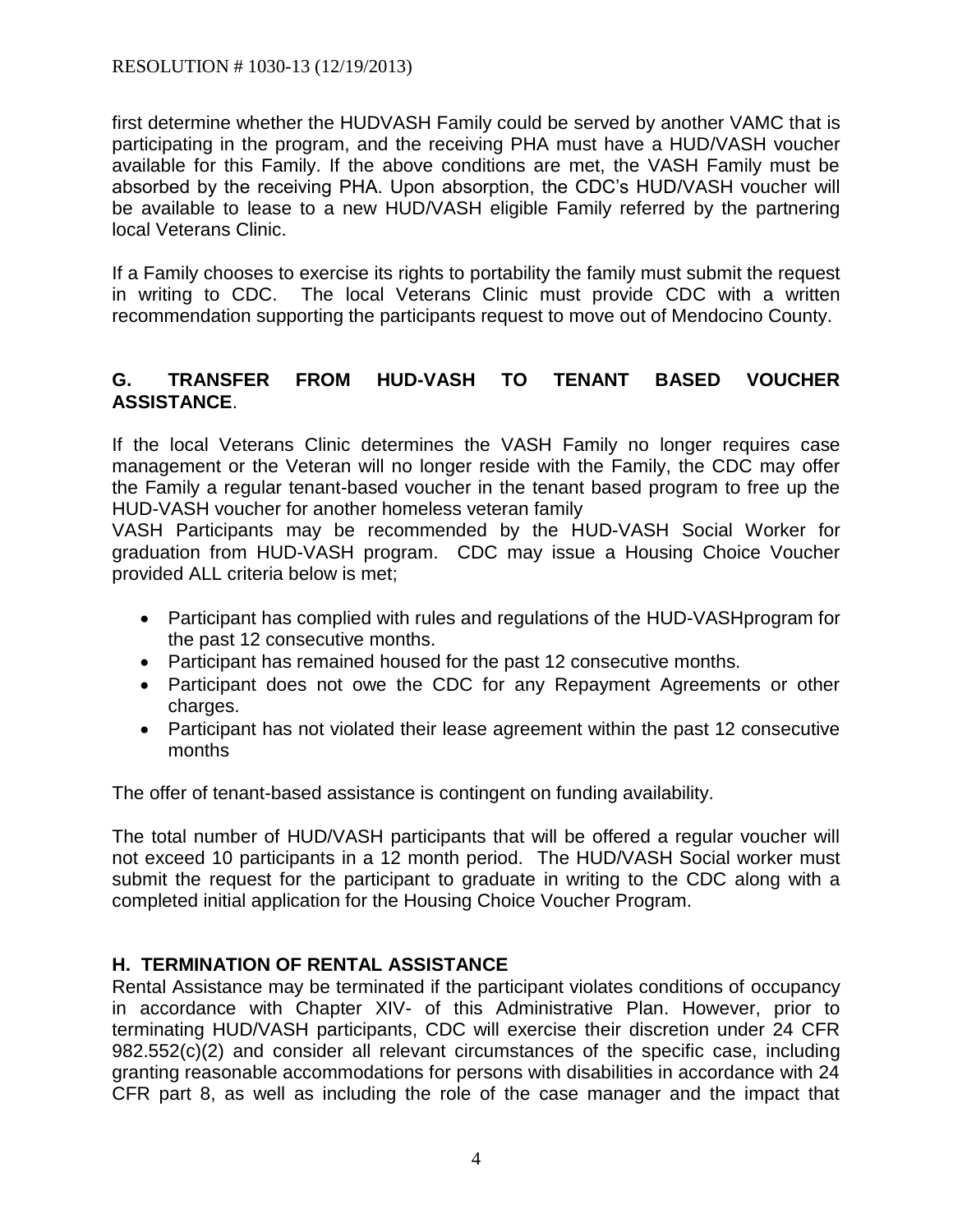first determine whether the HUDVASH Family could be served by another VAMC that is participating in the program, and the receiving PHA must have a HUD/VASH voucher available for this Family. If the above conditions are met, the VASH Family must be absorbed by the receiving PHA. Upon absorption, the CDC's HUD/VASH voucher will be available to lease to a new HUD/VASH eligible Family referred by the partnering local Veterans Clinic.

If a Family chooses to exercise its rights to portability the family must submit the request in writing to CDC. The local Veterans Clinic must provide CDC with a written recommendation supporting the participants request to move out of Mendocino County.

# **G. TRANSFER FROM HUD-VASH TO TENANT BASED VOUCHER ASSISTANCE**.

If the local Veterans Clinic determines the VASH Family no longer requires case management or the Veteran will no longer reside with the Family, the CDC may offer the Family a regular tenant-based voucher in the tenant based program to free up the HUD-VASH voucher for another homeless veteran family

VASH Participants may be recommended by the HUD-VASH Social Worker for graduation from HUD-VASH program. CDC may issue a Housing Choice Voucher provided ALL criteria below is met;

- Participant has complied with rules and regulations of the HUD-VASHprogram for the past 12 consecutive months.
- Participant has remained housed for the past 12 consecutive months.
- Participant does not owe the CDC for any Repayment Agreements or other charges.
- Participant has not violated their lease agreement within the past 12 consecutive months

The offer of tenant-based assistance is contingent on funding availability.

The total number of HUD/VASH participants that will be offered a regular voucher will not exceed 10 participants in a 12 month period. The HUD/VASH Social worker must submit the request for the participant to graduate in writing to the CDC along with a completed initial application for the Housing Choice Voucher Program.

# **H. TERMINATION OF RENTAL ASSISTANCE**

Rental Assistance may be terminated if the participant violates conditions of occupancy in accordance with Chapter XIV- of this Administrative Plan. However, prior to terminating HUD/VASH participants, CDC will exercise their discretion under 24 CFR 982.552(c)(2) and consider all relevant circumstances of the specific case, including granting reasonable accommodations for persons with disabilities in accordance with 24 CFR part 8, as well as including the role of the case manager and the impact that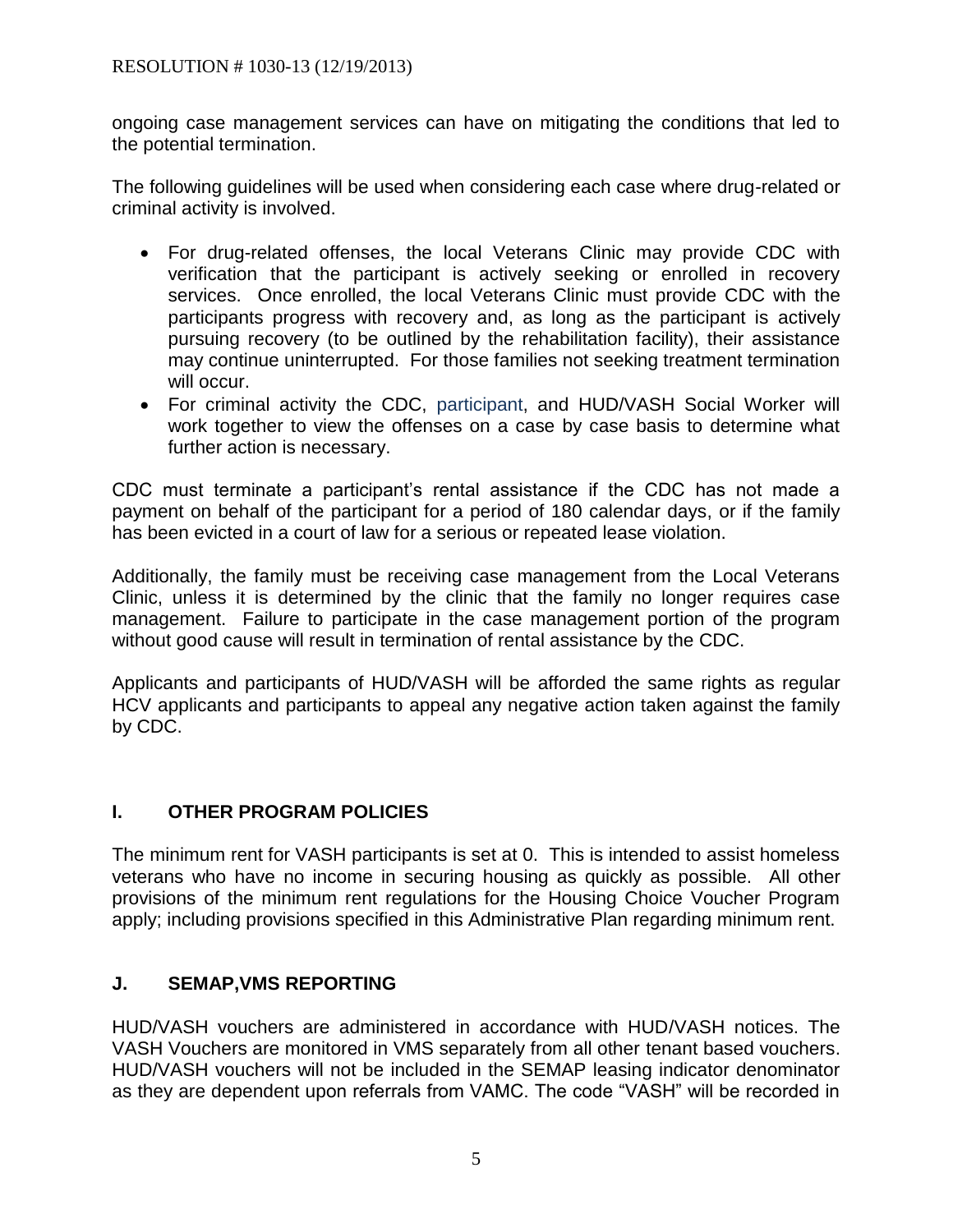ongoing case management services can have on mitigating the conditions that led to the potential termination.

The following guidelines will be used when considering each case where drug-related or criminal activity is involved.

- For drug-related offenses, the local Veterans Clinic may provide CDC with verification that the participant is actively seeking or enrolled in recovery services. Once enrolled, the local Veterans Clinic must provide CDC with the participants progress with recovery and, as long as the participant is actively pursuing recovery (to be outlined by the rehabilitation facility), their assistance may continue uninterrupted. For those families not seeking treatment termination will occur.
- For criminal activity the CDC, participant, and HUD/VASH Social Worker will work together to view the offenses on a case by case basis to determine what further action is necessary.

CDC must terminate a participant's rental assistance if the CDC has not made a payment on behalf of the participant for a period of 180 calendar days, or if the family has been evicted in a court of law for a serious or repeated lease violation.

Additionally, the family must be receiving case management from the Local Veterans Clinic, unless it is determined by the clinic that the family no longer requires case management. Failure to participate in the case management portion of the program without good cause will result in termination of rental assistance by the CDC.

Applicants and participants of HUD/VASH will be afforded the same rights as regular HCV applicants and participants to appeal any negative action taken against the family by CDC.

### **I. OTHER PROGRAM POLICIES**

The minimum rent for VASH participants is set at 0. This is intended to assist homeless veterans who have no income in securing housing as quickly as possible. All other provisions of the minimum rent regulations for the Housing Choice Voucher Program apply; including provisions specified in this Administrative Plan regarding minimum rent.

### **J. SEMAP,VMS REPORTING**

HUD/VASH vouchers are administered in accordance with HUD/VASH notices. The VASH Vouchers are monitored in VMS separately from all other tenant based vouchers. HUD/VASH vouchers will not be included in the SEMAP leasing indicator denominator as they are dependent upon referrals from VAMC. The code "VASH" will be recorded in